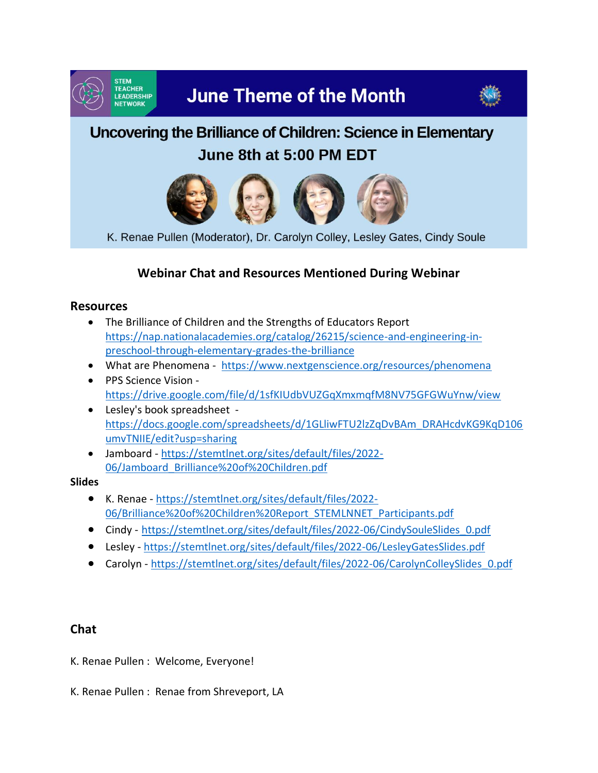

# **June Theme of the Month**



## Uncovering the Brilliance of Children: Science in Elementary June 8th at 5:00 PM EDT



K. Renae Pullen (Moderator), Dr. Carolyn Colley, Lesley Gates, Cindy Soule

### **Webinar Chat and Resources Mentioned During Webinar**

#### **Resources**

- The Brilliance of Children and the Strengths of Educators Report [https://nap.nationalacademies.org/catalog/26215/science-and-engineering-in](https://nap.nationalacademies.org/catalog/26215/science-and-engineering-in-preschool-through-elementary-grades-the-brilliance)[preschool-through-elementary-grades-the-brilliance](https://nap.nationalacademies.org/catalog/26215/science-and-engineering-in-preschool-through-elementary-grades-the-brilliance)
- What are Phenomena -<https://www.nextgenscience.org/resources/phenomena>
- PPS Science Vision <https://drive.google.com/file/d/1sfKIUdbVUZGqXmxmqfM8NV75GFGWuYnw/view>
- Lesley's book spreadsheet [https://docs.google.com/spreadsheets/d/1GLliwFTU2lzZqDvBAm\\_DRAHcdvKG9KqD106](https://docs.google.com/spreadsheets/d/1GLliwFTU2lzZqDvBAm_DRAHcdvKG9KqD106umvTNIIE/edit?usp=sharing) [umvTNIIE/edit?usp=sharing](https://docs.google.com/spreadsheets/d/1GLliwFTU2lzZqDvBAm_DRAHcdvKG9KqD106umvTNIIE/edit?usp=sharing)
- Jamboard [https://stemtlnet.org/sites/default/files/2022-](https://stemtlnet.org/sites/default/files/2022-06/Jamboard_Brilliance%20of%20Children.pdf) [06/Jamboard\\_Brilliance%20of%20Children.pdf](https://stemtlnet.org/sites/default/files/2022-06/Jamboard_Brilliance%20of%20Children.pdf)

#### **Slides**

- K. Renae [https://stemtlnet.org/sites/default/files/2022-](https://stemtlnet.org/sites/default/files/2022-06/Brilliance%20of%20Children%20Report_STEMLNNET_Participants.pdf) [06/Brilliance%20of%20Children%20Report\\_STEMLNNET\\_Participants.pdf](https://stemtlnet.org/sites/default/files/2022-06/Brilliance%20of%20Children%20Report_STEMLNNET_Participants.pdf)
- Cindy [https://stemtlnet.org/sites/default/files/2022-06/CindySouleSlides\\_0.pdf](https://stemtlnet.org/sites/default/files/2022-06/CindySouleSlides_0.pdf)
- Lesley <https://stemtlnet.org/sites/default/files/2022-06/LesleyGatesSlides.pdf>
- Carolyn [https://stemtlnet.org/sites/default/files/2022-06/CarolynColleySlides\\_0.pdf](https://stemtlnet.org/sites/default/files/2022-06/CarolynColleySlides_0.pdf)

#### **Chat**

- K. Renae Pullen : Welcome, Everyone!
- K. Renae Pullen : Renae from Shreveport, LA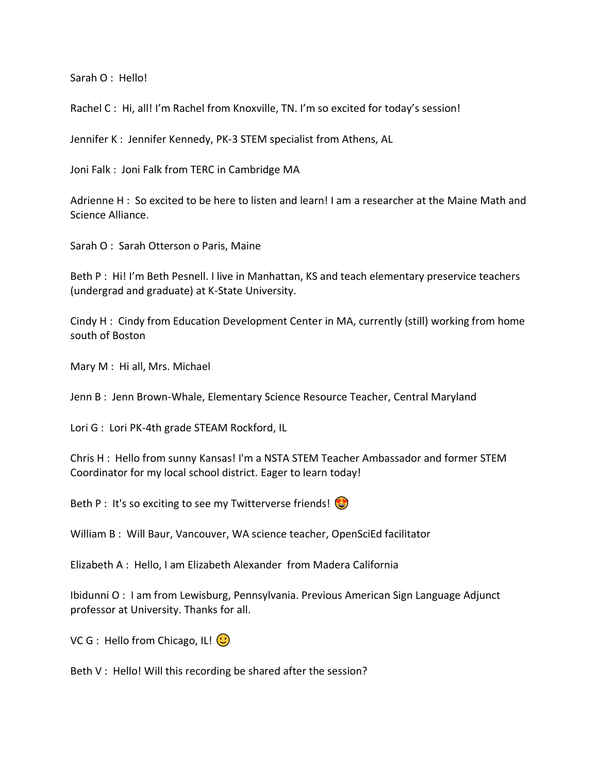Sarah O : Hello!

Rachel C: Hi, all! I'm Rachel from Knoxville, TN. I'm so excited for today's session!

Jennifer K : Jennifer Kennedy, PK-3 STEM specialist from Athens, AL

Joni Falk : Joni Falk from TERC in Cambridge MA

Adrienne H : So excited to be here to listen and learn! I am a researcher at the Maine Math and Science Alliance.

Sarah O : Sarah Otterson o Paris, Maine

Beth P : Hi! I'm Beth Pesnell. I live in Manhattan, KS and teach elementary preservice teachers (undergrad and graduate) at K-State University.

Cindy H : Cindy from Education Development Center in MA, currently (still) working from home south of Boston

Mary M : Hi all, Mrs. Michael

Jenn B : Jenn Brown-Whale, Elementary Science Resource Teacher, Central Maryland

Lori G : Lori PK-4th grade STEAM Rockford, IL

Chris H : Hello from sunny Kansas! I'm a NSTA STEM Teacher Ambassador and former STEM Coordinator for my local school district. Eager to learn today!

Beth P : It's so exciting to see my Twitterverse friends!

William B : Will Baur, Vancouver, WA science teacher, OpenSciEd facilitator

Elizabeth A : Hello, I am Elizabeth Alexander from Madera California

Ibidunni O : I am from Lewisburg, Pennsylvania. Previous American Sign Language Adjunct professor at University. Thanks for all.

VC G : Hello from Chicago, IL!  $\bigcirc$ 

Beth V : Hello! Will this recording be shared after the session?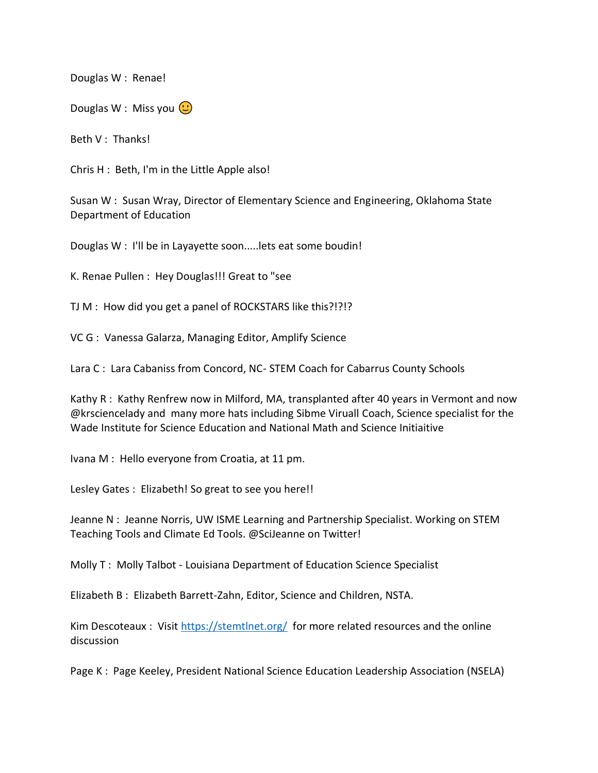Douglas W : Renae!

Douglas W : Miss you  $\odot$ 

Beth V : Thanks!

Chris H : Beth, I'm in the Little Apple also!

Susan W : Susan Wray, Director of Elementary Science and Engineering, Oklahoma State Department of Education

Douglas W : I'll be in Layayette soon.....lets eat some boudin!

K. Renae Pullen : Hey Douglas!!! Great to "see

TJ M : How did you get a panel of ROCKSTARS like this?!?!?

VC G : Vanessa Galarza, Managing Editor, Amplify Science

Lara C : Lara Cabaniss from Concord, NC- STEM Coach for Cabarrus County Schools

Kathy R : Kathy Renfrew now in Milford, MA, transplanted after 40 years in Vermont and now @krsciencelady and many more hats including Sibme Viruall Coach, Science specialist for the Wade Institute for Science Education and National Math and Science Initiaitive

Ivana M : Hello everyone from Croatia, at 11 pm.

Lesley Gates : Elizabeth! So great to see you here!!

Jeanne N : Jeanne Norris, UW ISME Learning and Partnership Specialist. Working on STEM Teaching Tools and Climate Ed Tools. @SciJeanne on Twitter!

Molly T : Molly Talbot - Louisiana Department of Education Science Specialist

Elizabeth B : Elizabeth Barrett-Zahn, Editor, Science and Children, NSTA.

Kim Descoteaux : Visit<https://stemtlnet.org/>for more related resources and the online discussion

Page K : Page Keeley, President National Science Education Leadership Association (NSELA)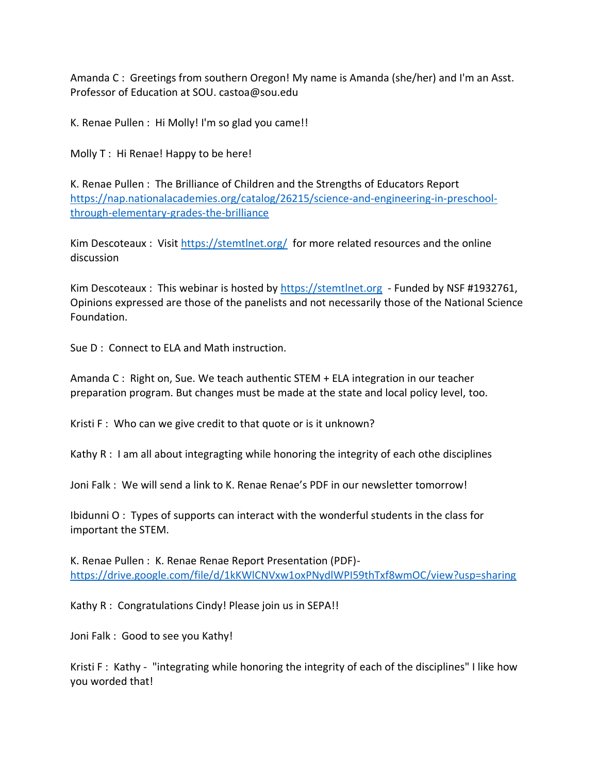Amanda C : Greetings from southern Oregon! My name is Amanda (she/her) and I'm an Asst. Professor of Education at SOU. castoa@sou.edu

K. Renae Pullen : Hi Molly! I'm so glad you came!!

Molly T: Hi Renae! Happy to be here!

K. Renae Pullen : The Brilliance of Children and the Strengths of Educators Report [https://nap.nationalacademies.org/catalog/26215/science-and-engineering-in-preschool](https://nap.nationalacademies.org/catalog/26215/science-and-engineering-in-preschool-through-elementary-grades-the-brilliance)[through-elementary-grades-the-brilliance](https://nap.nationalacademies.org/catalog/26215/science-and-engineering-in-preschool-through-elementary-grades-the-brilliance) 

Kim Descoteaux : Visit<https://stemtlnet.org/>for more related resources and the online discussion

Kim Descoteaux : This webinar is hosted by [https://stemtlnet.org](https://stemtlnet.org/) - Funded by NSF #1932761, Opinions expressed are those of the panelists and not necessarily those of the National Science Foundation.

Sue D : Connect to ELA and Math instruction.

Amanda C : Right on, Sue. We teach authentic STEM + ELA integration in our teacher preparation program. But changes must be made at the state and local policy level, too.

Kristi F: Who can we give credit to that quote or is it unknown?

Kathy R : I am all about integragting while honoring the integrity of each othe disciplines

Joni Falk : We will send a link to K. Renae Renae's PDF in our newsletter tomorrow!

Ibidunni O : Types of supports can interact with the wonderful students in the class for important the STEM.

K. Renae Pullen : K. Renae Renae Report Presentation (PDF) <https://drive.google.com/file/d/1kKWlCNVxw1oxPNydlWPI59thTxf8wmOC/view?usp=sharing>

Kathy R : Congratulations Cindy! Please join us in SEPA!!

Joni Falk : Good to see you Kathy!

Kristi F: Kathy - "integrating while honoring the integrity of each of the disciplines" I like how you worded that!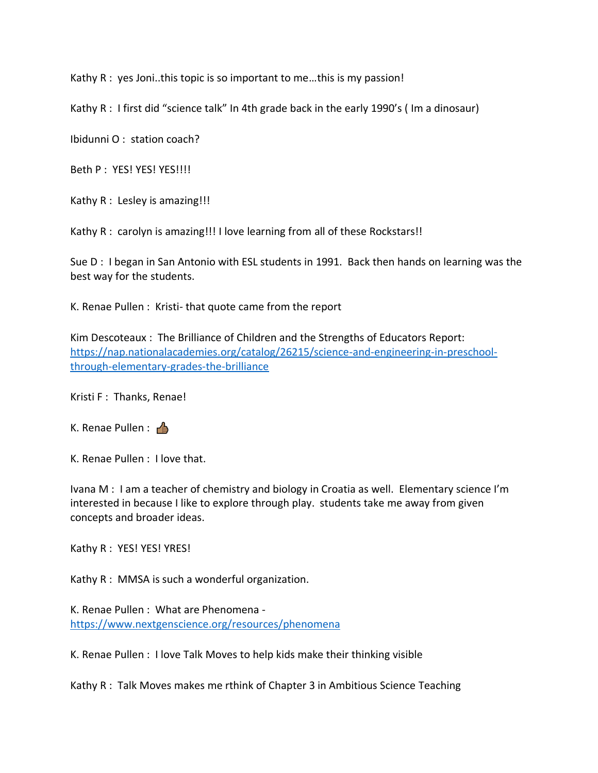Kathy R : yes Joni..this topic is so important to me…this is my passion!

Kathy R : I first did "science talk" In 4th grade back in the early 1990's ( Im a dinosaur)

Ibidunni O : station coach?

Beth P : YES! YES! YES!!!!

Kathy R : Lesley is amazing!!!

Kathy R : carolyn is amazing!!! I love learning from all of these Rockstars!!

Sue D: I began in San Antonio with ESL students in 1991. Back then hands on learning was the best way for the students.

K. Renae Pullen : Kristi- that quote came from the report

Kim Descoteaux : The Brilliance of Children and the Strengths of Educators Report: [https://nap.nationalacademies.org/catalog/26215/science-and-engineering-in-preschool](https://nap.nationalacademies.org/catalog/26215/science-and-engineering-in-preschool-through-elementary-grades-the-brilliance)[through-elementary-grades-the-brilliance](https://nap.nationalacademies.org/catalog/26215/science-and-engineering-in-preschool-through-elementary-grades-the-brilliance)

Kristi F : Thanks, Renae!

K. Renae Pullen :  $\triangle$ 

K. Renae Pullen : I love that.

Ivana M : I am a teacher of chemistry and biology in Croatia as well. Elementary science I'm interested in because I like to explore through play. students take me away from given concepts and broader ideas.

Kathy R : YES! YES! YRES!

Kathy R : MMSA is such a wonderful organization.

K. Renae Pullen : What are Phenomena <https://www.nextgenscience.org/resources/phenomena>

K. Renae Pullen : I love Talk Moves to help kids make their thinking visible

Kathy R : Talk Moves makes me rthink of Chapter 3 in Ambitious Science Teaching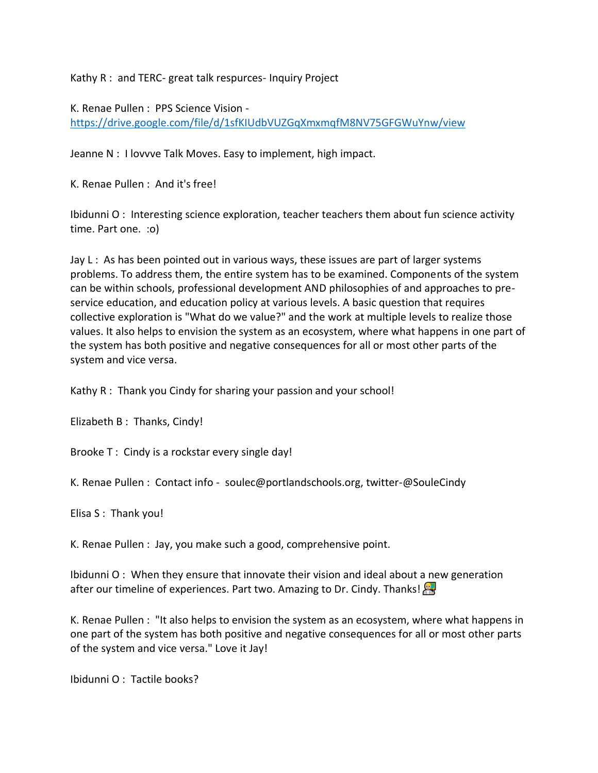Kathy R : and TERC- great talk respurces- Inquiry Project

K. Renae Pullen : PPS Science Vision <https://drive.google.com/file/d/1sfKIUdbVUZGqXmxmqfM8NV75GFGWuYnw/view>

Jeanne N : I lovvve Talk Moves. Easy to implement, high impact.

K. Renae Pullen : And it's free!

Ibidunni O : Interesting science exploration, teacher teachers them about fun science activity time. Part one. :o)

Jay L: As has been pointed out in various ways, these issues are part of larger systems problems. To address them, the entire system has to be examined. Components of the system can be within schools, professional development AND philosophies of and approaches to preservice education, and education policy at various levels. A basic question that requires collective exploration is "What do we value?" and the work at multiple levels to realize those values. It also helps to envision the system as an ecosystem, where what happens in one part of the system has both positive and negative consequences for all or most other parts of the system and vice versa.

Kathy R : Thank you Cindy for sharing your passion and your school!

Elizabeth B : Thanks, Cindy!

Brooke T : Cindy is a rockstar every single day!

K. Renae Pullen : Contact info - soulec@portlandschools.org, twitter-@SouleCindy

Elisa S : Thank you!

K. Renae Pullen : Jay, you make such a good, comprehensive point.

Ibidunni O : When they ensure that innovate their vision and ideal about a new generation after our timeline of experiences. Part two. Amazing to Dr. Cindy. Thanks!

K. Renae Pullen : "It also helps to envision the system as an ecosystem, where what happens in one part of the system has both positive and negative consequences for all or most other parts of the system and vice versa." Love it Jay!

Ibidunni O : Tactile books?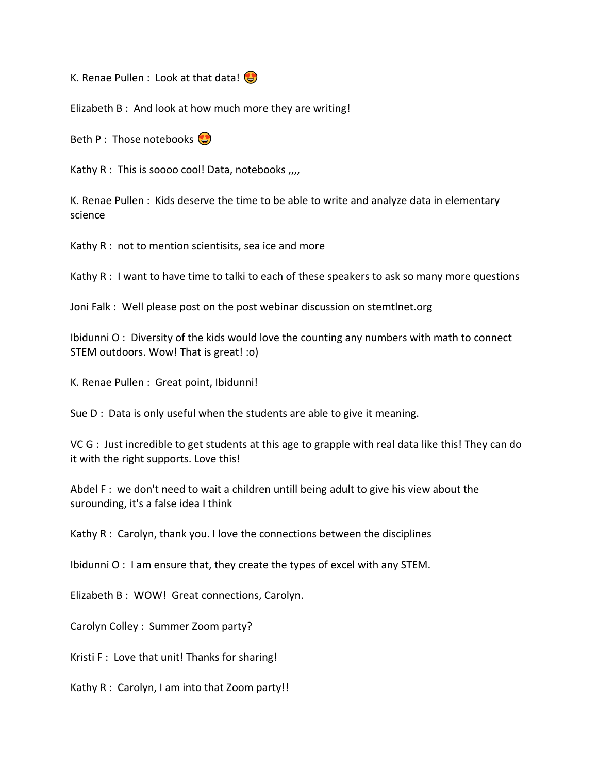K. Renae Pullen : Look at that data!

Elizabeth B : And look at how much more they are writing!

Beth P : Those notebooks  $\bigodot$ 

Kathy R : This is soooo cool! Data, notebooks ,,,,

K. Renae Pullen : Kids deserve the time to be able to write and analyze data in elementary science

Kathy R : not to mention scientisits, sea ice and more

Kathy R : I want to have time to talki to each of these speakers to ask so many more questions

Joni Falk : Well please post on the post webinar discussion on stemtlnet.org

Ibidunni O : Diversity of the kids would love the counting any numbers with math to connect STEM outdoors. Wow! That is great! :o)

K. Renae Pullen : Great point, Ibidunni!

Sue D : Data is only useful when the students are able to give it meaning.

VC G : Just incredible to get students at this age to grapple with real data like this! They can do it with the right supports. Love this!

Abdel F : we don't need to wait a children untill being adult to give his view about the surounding, it's a false idea I think

Kathy R : Carolyn, thank you. I love the connections between the disciplines

Ibidunni O : I am ensure that, they create the types of excel with any STEM.

Elizabeth B : WOW! Great connections, Carolyn.

Carolyn Colley : Summer Zoom party?

Kristi F : Love that unit! Thanks for sharing!

Kathy R : Carolyn, I am into that Zoom party!!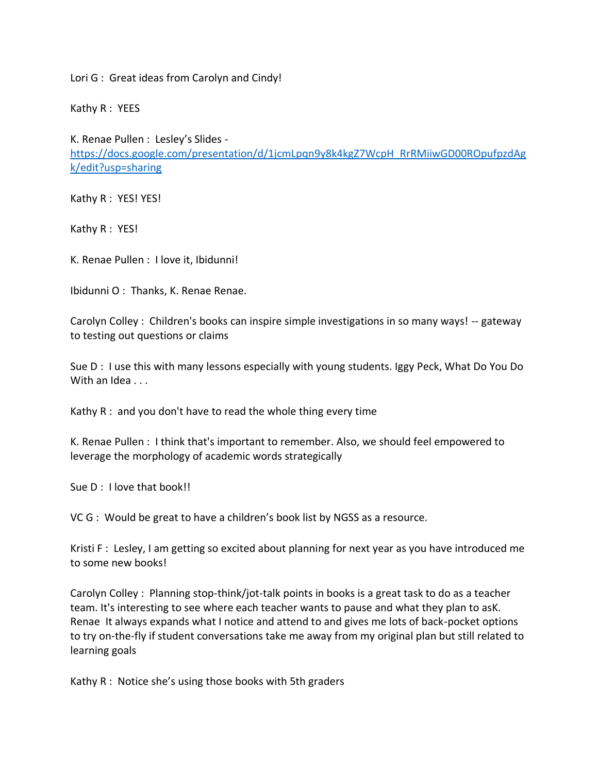Lori G : Great ideas from Carolyn and Cindy!

Kathy R : YEES

K. Renae Pullen : Lesley's Slides -

[https://docs.google.com/presentation/d/1jcmLpqn9y8k4kgZ7WcpH\\_RrRMiiwGD00ROpufpzdAg](https://docs.google.com/presentation/d/1jcmLpqn9y8k4kgZ7WcpH_RrRMiiwGD00ROpufpzdAgk/edit?usp=sharing) [k/edit?usp=sharing](https://docs.google.com/presentation/d/1jcmLpqn9y8k4kgZ7WcpH_RrRMiiwGD00ROpufpzdAgk/edit?usp=sharing)

Kathy R : YES! YES!

Kathy R : YES!

K. Renae Pullen : I love it, Ibidunni!

Ibidunni O : Thanks, K. Renae Renae.

Carolyn Colley : Children's books can inspire simple investigations in so many ways! -- gateway to testing out questions or claims

Sue D : I use this with many lessons especially with young students. Iggy Peck, What Do You Do With an Idea . . .

Kathy R : and you don't have to read the whole thing every time

K. Renae Pullen : I think that's important to remember. Also, we should feel empowered to leverage the morphology of academic words strategically

Sue D : I love that book!!

VC G : Would be great to have a children's book list by NGSS as a resource.

Kristi F: Lesley, I am getting so excited about planning for next year as you have introduced me to some new books!

Carolyn Colley : Planning stop-think/jot-talk points in books is a great task to do as a teacher team. It's interesting to see where each teacher wants to pause and what they plan to asK. Renae It always expands what I notice and attend to and gives me lots of back-pocket options to try on-the-fly if student conversations take me away from my original plan but still related to learning goals

Kathy R : Notice she's using those books with 5th graders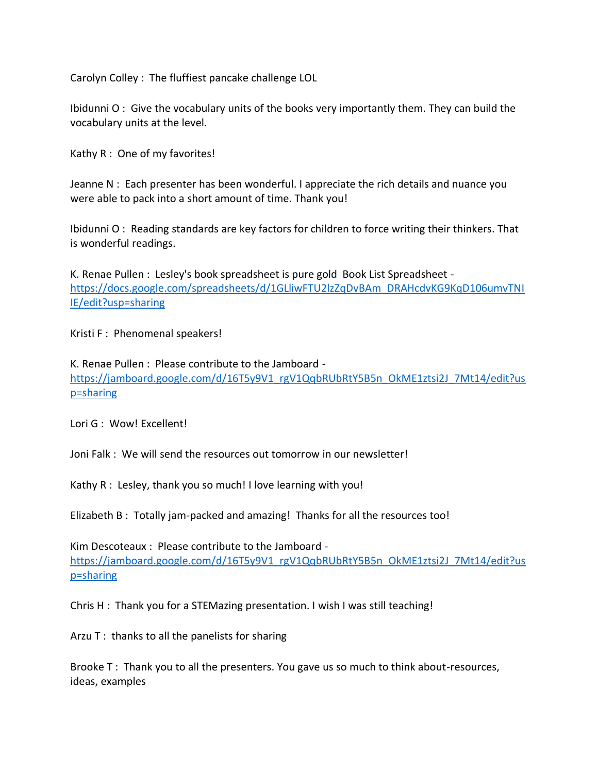Carolyn Colley : The fluffiest pancake challenge LOL

Ibidunni O : Give the vocabulary units of the books very importantly them. They can build the vocabulary units at the level.

Kathy R : One of my favorites!

Jeanne N : Each presenter has been wonderful. I appreciate the rich details and nuance you were able to pack into a short amount of time. Thank you!

Ibidunni O : Reading standards are key factors for children to force writing their thinkers. That is wonderful readings.

K. Renae Pullen : Lesley's book spreadsheet is pure gold Book List Spreadsheet [https://docs.google.com/spreadsheets/d/1GLliwFTU2lzZqDvBAm\\_DRAHcdvKG9KqD106umvTNI](https://docs.google.com/spreadsheets/d/1GLliwFTU2lzZqDvBAm_DRAHcdvKG9KqD106umvTNIIE/edit?usp=sharing) [IE/edit?usp=sharing](https://docs.google.com/spreadsheets/d/1GLliwFTU2lzZqDvBAm_DRAHcdvKG9KqD106umvTNIIE/edit?usp=sharing)

Kristi F: Phenomenal speakers!

K. Renae Pullen : Please contribute to the Jamboard [https://jamboard.google.com/d/16T5y9V1\\_rgV1QqbRUbRtY5B5n\\_OkME1ztsi2J\\_7Mt14/edit?us](https://jamboard.google.com/d/16T5y9V1_rgV1QqbRUbRtY5B5n_OkME1ztsi2J_7Mt14/edit?usp=sharing) [p=sharing](https://jamboard.google.com/d/16T5y9V1_rgV1QqbRUbRtY5B5n_OkME1ztsi2J_7Mt14/edit?usp=sharing)

Lori G : Wow! Excellent!

Joni Falk : We will send the resources out tomorrow in our newsletter!

Kathy R : Lesley, thank you so much! I love learning with you!

Elizabeth B : Totally jam-packed and amazing! Thanks for all the resources too!

Kim Descoteaux : Please contribute to the Jamboard [https://jamboard.google.com/d/16T5y9V1\\_rgV1QqbRUbRtY5B5n\\_OkME1ztsi2J\\_7Mt14/edit?us](https://jamboard.google.com/d/16T5y9V1_rgV1QqbRUbRtY5B5n_OkME1ztsi2J_7Mt14/edit?usp=sharing) [p=sharing](https://jamboard.google.com/d/16T5y9V1_rgV1QqbRUbRtY5B5n_OkME1ztsi2J_7Mt14/edit?usp=sharing)

Chris H : Thank you for a STEMazing presentation. I wish I was still teaching!

Arzu T : thanks to all the panelists for sharing

Brooke T : Thank you to all the presenters. You gave us so much to think about-resources, ideas, examples